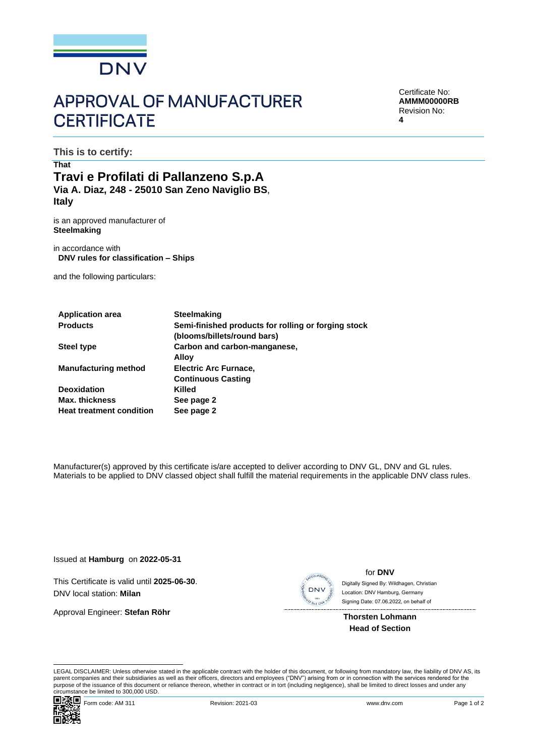

## **APPROVAL OF MANUFACTURER CERTIFICATE**

Certificate No: **AMMM00000RB** Revision No: **4**

**This is to certify:**

## **That Travi e Profilati di Pallanzeno S.p.A Via A. Diaz, 248 - 25010 San Zeno Naviglio BS**, **Italy**

is an approved manufacturer of **Steelmaking**

in accordance with **DNV rules for classification – Ships**

and the following particulars:

| <b>Application area</b>         | <b>Steelmaking</b>                                  |  |  |
|---------------------------------|-----------------------------------------------------|--|--|
| <b>Products</b>                 | Semi-finished products for rolling or forging stock |  |  |
|                                 | (blooms/billets/round bars)                         |  |  |
| <b>Steel type</b>               | Carbon and carbon-manganese,                        |  |  |
|                                 | Alloy                                               |  |  |
| <b>Manufacturing method</b>     | <b>Electric Arc Furnace,</b>                        |  |  |
|                                 | <b>Continuous Casting</b>                           |  |  |
| <b>Deoxidation</b>              | Killed                                              |  |  |
| <b>Max. thickness</b>           | See page 2                                          |  |  |
| <b>Heat treatment condition</b> | See page 2                                          |  |  |

Manufacturer(s) approved by this certificate is/are accepted to deliver according to DNV GL, DNV and GL rules. Materials to be applied to DNV classed object shall fulfill the material requirements in the applicable DNV class rules.

Issued at **Hamburg** on **2022-05-31**

This Certificate is valid until **2025-06-30**. DNV local station: **Milan**

Approval Engineer: **Stefan Röhr**



for **DNV**

 Signing Date: 07.06.2022 , on behalf ofDigitally Signed By: Wildhagen, Christian Location: DNV Hamburg, Germany

**Thorsten Lohmann Head of Section**

LEGAL DISCLAIMER: Unless otherwise stated in the applicable contract with the holder of this document, or following from mandatory law, the liability of DNV AS, its parent companies and their subsidiaries as well as their officers, directors and employees ("DNV") arising from or in connection with the services rendered for the purpose of the issuance of this document or reliance thereon, whether in contract or in tort (including negligence), shall be limited to direct losses and under any circumstance be limited to 300,000 USD.